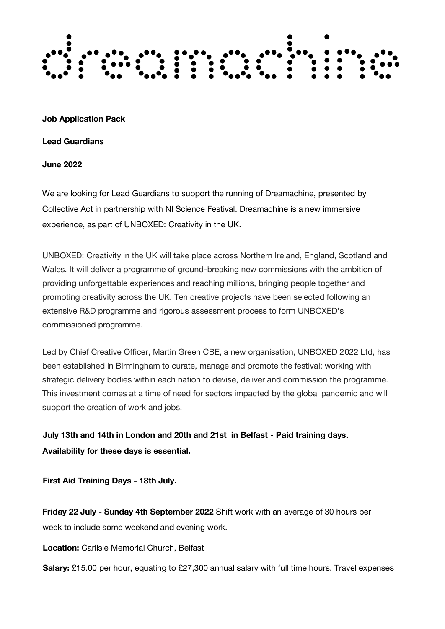

**Job Application Pack**

**Lead Guardians**

**June 2022**

We are looking for Lead Guardians to support the running of Dreamachine, presented by Collective Act in partnership with NI Science Festival. Dreamachine is a new immersive experience, as part of UNBOXED: Creativity in the UK.

UNBOXED: Creativity in the UK will take place across Northern Ireland, England, Scotland and Wales. It will deliver a programme of ground-breaking new commissions with the ambition of providing unforgettable experiences and reaching millions, bringing people together and promoting creativity across the UK. Ten creative projects have been selected following an extensive R&D programme and rigorous assessment process to form UNBOXED's commissioned programme.

Led by Chief Creative Officer, Martin Green CBE, a new organisation, UNBOXED 2022 Ltd, has been established in Birmingham to curate, manage and promote the festival; working with strategic delivery bodies within each nation to devise, deliver and commission the programme. This investment comes at a time of need for sectors impacted by the global pandemic and will support the creation of work and jobs.

**July 13th and 14th in London and 20th and 21st in Belfast - Paid training days. Availability for these days is essential.** 

**First Aid Training Days - 18th July.**

**Friday 22 July - Sunday 4th September 2022** Shift work with an average of 30 hours per week to include some weekend and evening work.

**Location:** Carlisle Memorial Church, Belfast

**Salary:** £15.00 per hour, equating to £27,300 annual salary with full time hours. Travel expenses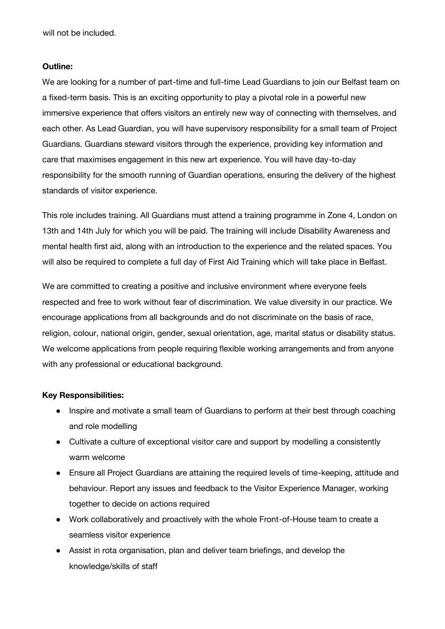will not be included.

### **Outline:**

We are looking for a number of part-time and full-time Lead Guardians to join our Belfast team on a fixed-term basis. This is an exciting opportunity to play a pivotal role in a powerful new immersive experience that offers visitors an entirely new way of connecting with themselves, and each other. As Lead Guardian, you will have supervisory responsibility for a small team of Project Guardians. Guardians steward visitors through the experience, providing key information and care that maximises engagement in this new art experience. You will have day-to-day responsibility for the smooth running of Guardian operations, ensuring the delivery of the highest standards of visitor experience.

This role includes training. All Guardians must attend a training programme in Zone 4, London on 13th and 14th July for which you will be paid. The training will include Disability Awareness and mental health first aid, along with an introduction to the experience and the related spaces. You will also be required to complete a full day of First Aid Training which will take place in Belfast.

We are committed to creating a positive and inclusive environment where everyone feels respected and free to work without fear of discrimination. We value diversity in our practice. We encourage applications from all backgrounds and do not discriminate on the basis of race, religion, colour, national origin, gender, sexual orientation, age, marital status or disability status. We welcome applications from people requiring flexible working arrangements and from anyone with any professional or educational background.

### **Key Responsibilities:**

- Inspire and motivate a small team of Guardians to perform at their best through coaching and role modelling
- Cultivate a culture of exceptional visitor care and support by modelling a consistently warm welcome
- Ensure all Project Guardians are attaining the required levels of time-keeping, attitude and behaviour. Report any issues and feedback to the Visitor Experience Manager, working together to decide on actions required
- Work collaboratively and proactively with the whole Front-of-House team to create a seamless visitor experience
- Assist in rota organisation, plan and deliver team briefings, and develop the knowledge/skills of staff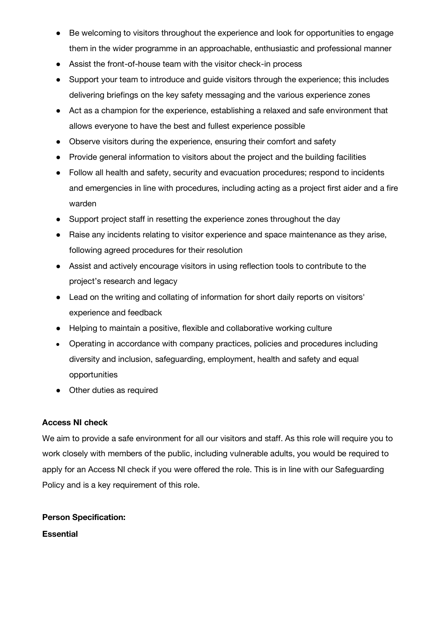- Be welcoming to visitors throughout the experience and look for opportunities to engage them in the wider programme in an approachable, enthusiastic and professional manner
- Assist the front-of-house team with the visitor check-in process
- Support your team to introduce and guide visitors through the experience; this includes delivering briefings on the key safety messaging and the various experience zones
- Act as a champion for the experience, establishing a relaxed and safe environment that allows everyone to have the best and fullest experience possible
- Observe visitors during the experience, ensuring their comfort and safety
- Provide general information to visitors about the project and the building facilities
- Follow all health and safety, security and evacuation procedures; respond to incidents and emergencies in line with procedures, including acting as a project first aider and a fire warden
- Support project staff in resetting the experience zones throughout the day
- Raise any incidents relating to visitor experience and space maintenance as they arise, following agreed procedures for their resolution
- Assist and actively encourage visitors in using reflection tools to contribute to the project's research and legacy
- Lead on the writing and collating of information for short daily reports on visitors' experience and feedback
- Helping to maintain a positive, flexible and collaborative working culture
- Operating in accordance with company practices, policies and procedures including diversity and inclusion, safeguarding, employment, health and safety and equal opportunities
- Other duties as required

# **Access NI check**

We aim to provide a safe environment for all our visitors and staff. As this role will require you to work closely with members of the public, including vulnerable adults, you would be required to apply for an Access NI check if you were offered the role. This is in line with our Safeguarding Policy and is a key requirement of this role.

# **Person Specification:**

**Essential**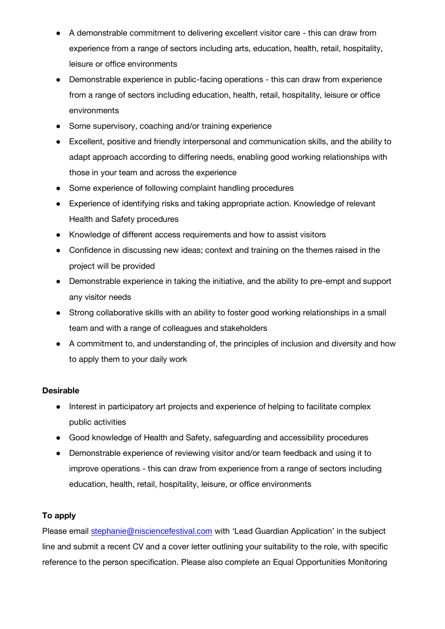- A demonstrable commitment to delivering excellent visitor care this can draw from experience from a range of sectors including arts, education, health, retail, hospitality, leisure or office environments
- Demonstrable experience in public-facing operations this can draw from experience from a range of sectors including education, health, retail, hospitality, leisure or office environments
- Some supervisory, coaching and/or training experience
- Excellent, positive and friendly interpersonal and communication skills, and the ability to adapt approach according to differing needs, enabling good working relationships with those in your team and across the experience
- Some experience of following complaint handling procedures
- Experience of identifying risks and taking appropriate action. Knowledge of relevant Health and Safety procedures
- Knowledge of different access requirements and how to assist visitors
- Confidence in discussing new ideas; context and training on the themes raised in the project will be provided
- Demonstrable experience in taking the initiative, and the ability to pre-empt and support any visitor needs
- Strong collaborative skills with an ability to foster good working relationships in a small team and with a range of colleagues and stakeholders
- A commitment to, and understanding of, the principles of inclusion and diversity and how to apply them to your daily work

# **Desirable**

- Interest in participatory art projects and experience of helping to facilitate complex public activities
- Good knowledge of Health and Safety, safeguarding and accessibility procedures
- Demonstrable experience of reviewing visitor and/or team feedback and using it to improve operations - this can draw from experience from a range of sectors including education, health, retail, hospitality, leisure, or office environments

# **To apply**

Please email [stephanie@nisciencefestival.com](mailto:stephanie@nisciencefestival.com) with 'Lead Guardian Application' in the subject line and submit a recent CV and a cover letter outlining your suitability to the role, with specific reference to the person specification. Please also complete an Equal Opportunities Monitoring